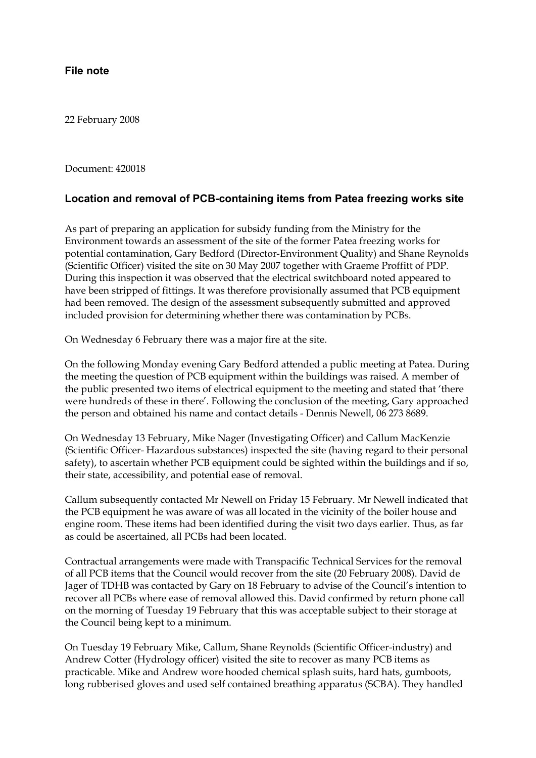## **File note**

22 February 2008

Document: 420018

## **Location and removal of PCB-containing items from Patea freezing works site**

As part of preparing an application for subsidy funding from the Ministry for the Environment towards an assessment of the site of the former Patea freezing works for potential contamination, Gary Bedford (Director-Environment Quality) and Shane Reynolds (Scientific Officer) visited the site on 30 May 2007 together with Graeme Proffitt of PDP. During this inspection it was observed that the electrical switchboard noted appeared to have been stripped of fittings. It was therefore provisionally assumed that PCB equipment had been removed. The design of the assessment subsequently submitted and approved included provision for determining whether there was contamination by PCBs.

On Wednesday 6 February there was a major fire at the site.

On the following Monday evening Gary Bedford attended a public meeting at Patea. During the meeting the question of PCB equipment within the buildings was raised. A member of the public presented two items of electrical equipment to the meeting and stated that 'there were hundreds of these in there'. Following the conclusion of the meeting, Gary approached the person and obtained his name and contact details - Dennis Newell, 06 273 8689.

On Wednesday 13 February, Mike Nager (Investigating Officer) and Callum MacKenzie (Scientific Officer- Hazardous substances) inspected the site (having regard to their personal safety), to ascertain whether PCB equipment could be sighted within the buildings and if so, their state, accessibility, and potential ease of removal.

Callum subsequently contacted Mr Newell on Friday 15 February. Mr Newell indicated that the PCB equipment he was aware of was all located in the vicinity of the boiler house and engine room. These items had been identified during the visit two days earlier. Thus, as far as could be ascertained, all PCBs had been located.

Contractual arrangements were made with Transpacific Technical Services for the removal of all PCB items that the Council would recover from the site (20 February 2008). David de Jager of TDHB was contacted by Gary on 18 February to advise of the Council's intention to recover all PCBs where ease of removal allowed this. David confirmed by return phone call on the morning of Tuesday 19 February that this was acceptable subject to their storage at the Council being kept to a minimum.

On Tuesday 19 February Mike, Callum, Shane Reynolds (Scientific Officer-industry) and Andrew Cotter (Hydrology officer) visited the site to recover as many PCB items as practicable. Mike and Andrew wore hooded chemical splash suits, hard hats, gumboots, long rubberised gloves and used self contained breathing apparatus (SCBA). They handled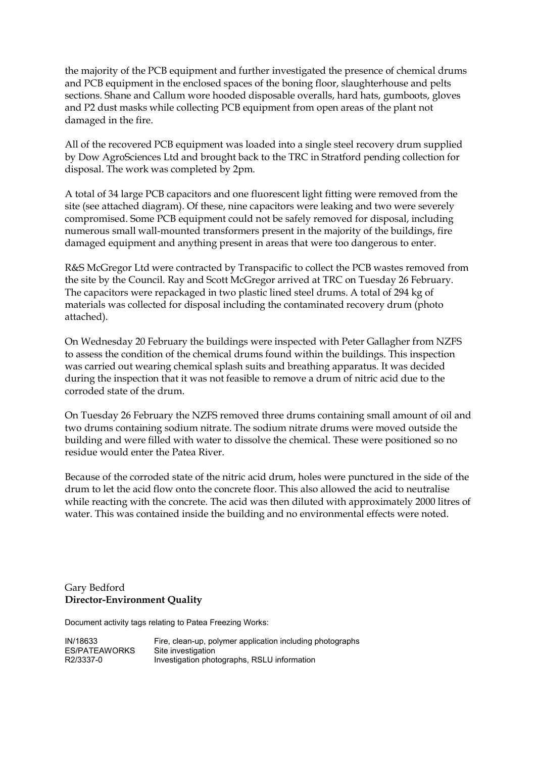the majority of the PCB equipment and further investigated the presence of chemical drums and PCB equipment in the enclosed spaces of the boning floor, slaughterhouse and pelts sections. Shane and Callum wore hooded disposable overalls, hard hats, gumboots, gloves and P2 dust masks while collecting PCB equipment from open areas of the plant not damaged in the fire.

All of the recovered PCB equipment was loaded into a single steel recovery drum supplied by Dow AgroSciences Ltd and brought back to the TRC in Stratford pending collection for disposal. The work was completed by 2pm.

A total of 34 large PCB capacitors and one fluorescent light fitting were removed from the site (see attached diagram). Of these, nine capacitors were leaking and two were severely compromised. Some PCB equipment could not be safely removed for disposal, including numerous small wall-mounted transformers present in the majority of the buildings, fire damaged equipment and anything present in areas that were too dangerous to enter.

R&S McGregor Ltd were contracted by Transpacific to collect the PCB wastes removed from the site by the Council. Ray and Scott McGregor arrived at TRC on Tuesday 26 February. The capacitors were repackaged in two plastic lined steel drums. A total of 294 kg of materials was collected for disposal including the contaminated recovery drum (photo attached).

On Wednesday 20 February the buildings were inspected with Peter Gallagher from NZFS to assess the condition of the chemical drums found within the buildings. This inspection was carried out wearing chemical splash suits and breathing apparatus. It was decided during the inspection that it was not feasible to remove a drum of nitric acid due to the corroded state of the drum.

On Tuesday 26 February the NZFS removed three drums containing small amount of oil and two drums containing sodium nitrate. The sodium nitrate drums were moved outside the building and were filled with water to dissolve the chemical. These were positioned so no residue would enter the Patea River.

Because of the corroded state of the nitric acid drum, holes were punctured in the side of the drum to let the acid flow onto the concrete floor. This also allowed the acid to neutralise while reacting with the concrete. The acid was then diluted with approximately 2000 litres of water. This was contained inside the building and no environmental effects were noted.

#### Gary Bedford **Director-Environment Quality**

Document activity tags relating to Patea Freezing Works:

| IN/18633      | Fire, clean-up, polymer application including photographs |
|---------------|-----------------------------------------------------------|
| ES/PATEAWORKS | Site investigation                                        |
| R2/3337-0     | Investigation photographs, RSLU information               |